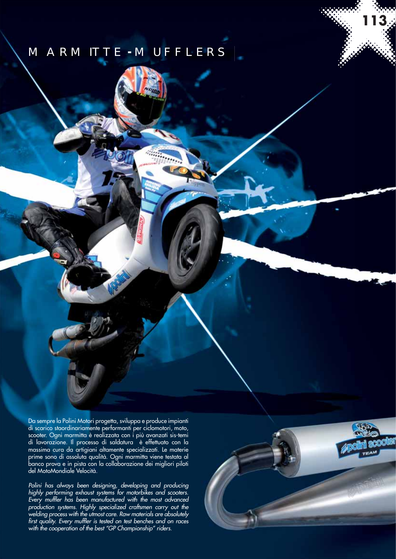### MARMITTE **-** MUFFLERS

Da sempre la Polini Motori progetta, sviluppa e produce impianti di scarico staordinariamente performanti per ciclomotori, moto, scooter. Ogni marmitta è realizzata con i più avanzati sis-temi di lavorazione. Il processo di saldatura è effettuato con la massima cura da artigiani altamente specializzati. Le materie prime sono di assoluta qualità. Ogni marmitta viene testata al banco prova e in pista con la collaborazione dei migliori piloti del MotoMondiale Velocità.

Polini has always been designing, developing and producing highly performing exhaust systems for motorbikes and scooters. Every muffler has been manufactured with the most advanced production systems. Highly specialized craftsmen carry out the welding process with the utmost care. Raw materials are absolutely first quality. Every muffler is tested on test benches and on races with the cooperation of the best "GP Championship" riders.



**113**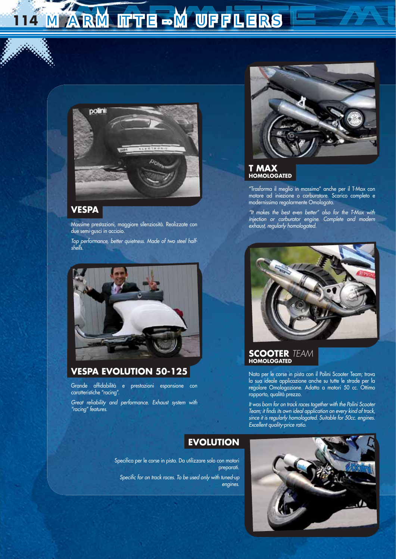## **MARMITTE-MUFFLERS**



#### **VESPA**

Massime prestazioni, maggiore silenziosità. Realizzate con due semi-gusci in acciaio.

Top performance, better quietness. Made of two steel halfshells.



#### **VESPA EVOLUTION 50-125**

Grande affidabilità e prestazioni espansione con caratteristiche "racing".

Great reliability and performance. Exhaust system with "racing" features.



#### **T MAX HOMOLOGATED**

"Trasforma il meglio in massimo" anche per il T-Max con motore ad iniezione o carburatore. Scarico completo e modernissimo regolarmente Omologato.

"It makes the best even better" also for the T-Max with injection or carburator engine. Complete and modern exhaust, regularly homologated.



#### **SCOOTER** TEAM **HOMOLOGATED**

Nata per le corse in pista con il Polini Scooter Team; trova la sua ideale applicazione anche su tutte le strade per la regolare Omologazione. Adatta a motori 50 cc. Ottimo rapporto, qualità prezzo.

It was born for on track races together with the Polini Scooter Team; it finds its own ideal application on every kind of track, since it is regularly homologated. Suitable for 50cc. engines. Excellent quality-price ratio.

#### **EVOLUTION**

engines.

Specifica per le corse in pista. Da utilizzare solo con motori preparati. Specific for on track races. To be used only with tuned-up

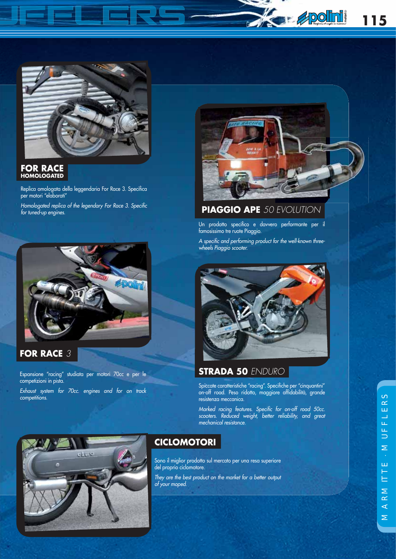



#### **FOR RACE HOMOLOGATED**

Replica omologata della leggendaria For Race 3. Specitica per motori "elaborati"

Homologated replica of the legendary For Race 3. Specific for tuned-up engines.



**FOR RACE** 3

Espansione "racing" studiata per motori 70cc e per le competizioni in pista.

Exhaust system for 70cc. engines and for on track competitions.



#### **PIAGGIO APE** 50 EVOLUTION

Un prodotto specifico e davvero performante per il famosissimo tre ruote Piaggio.

A specific and performing product for the well-known threewheels Piaggio scooter.



#### **STRADA 50** ENDURO

Spiccate caratteristiche "racing". Specifiche per "cinquantini" on-off road. Peso ridotto, maggiore affidabilità, grande resistenza meccanica.

Marked racing features. Specific for on-off road 50cc. scooters. Reduced weight, better reliability, and great mechanical resistance.



#### **CICLOMOTORI**

Sono il miglior prodotto sul mercato per una resa superiore del proprio ciclomotore.

They are the best product on the market for a better output of your moped.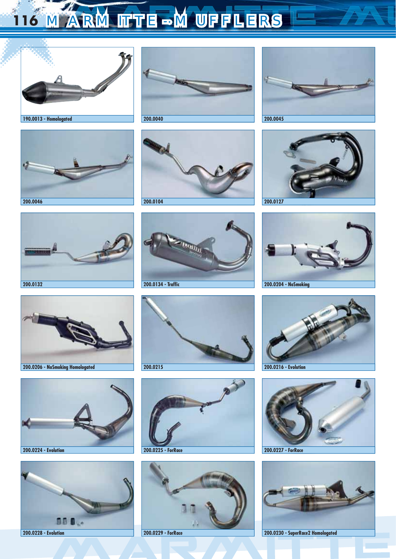# 116 MARMITTE MUFFLERS















































**200.0228 - Evolution 200.0229 - ForRace 200.0230 - SuperRace2 Homologated**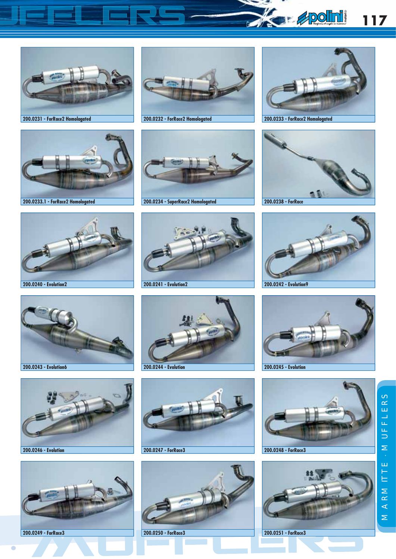









**200.0233.1 - ForRace2 Homologated 200.0234 - SuperRace2 Homologated 200.0238 - ForRace**





















 $\overline{\bullet}$ 







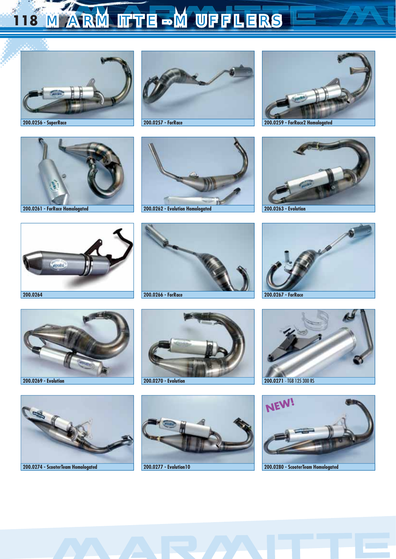# 118 MARMITTE-MUFFLERS







**200.0256 - SuperRace 200.0257 - ForRace 200.0259 - ForRace2 Homologated**























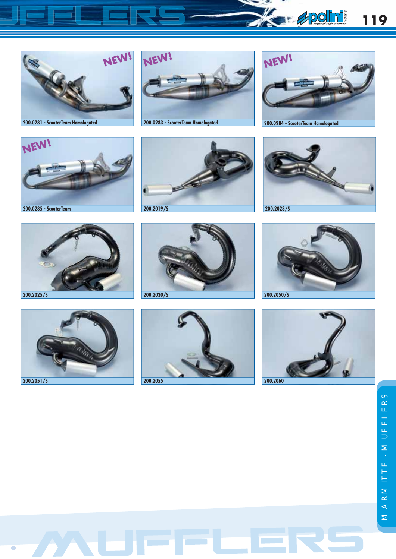

















 $\overline{\phantom{a}}$ 











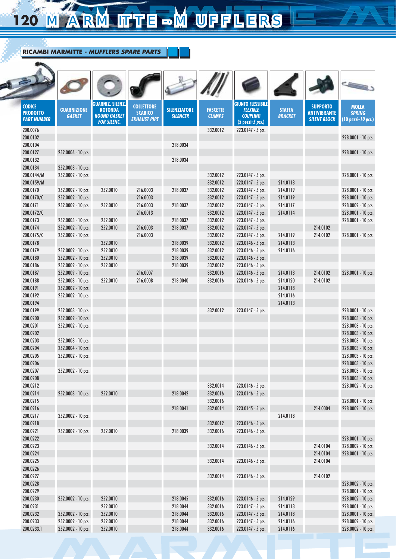# 120 MARMITTE MUFFLERS

| <b>CODICE</b><br><b>PRODOTTO</b><br><b>PART NUMBER</b> | <b>GUARNIZIONE</b><br><b>GASKET</b>      | <b>GUARNIZ. SILENZ</b><br><b>ROTONDA</b><br><b>ROUND GASKET</b><br><b>FOR SILENC.</b> | <b>COLLETTORE</b><br><b>SCARICO</b><br><b>EXHAUST PIPE</b> | <b>SILENZIATORE</b><br><b>SILENCER</b> | <b>FASCETTE</b><br><b>CLAMPS</b> | <b>GIUNTO FLESSIBILE</b><br><b>FLEXIBLE</b><br><b>COUPLING</b><br>(5 pezzi-5 pcs.) | <b>STAFFA</b><br><b>BRACKET</b> | <b>SUPPORTO</b><br><b>ANTIVIBRANTE</b><br><b>SILENT BLOCK</b> | <b>MOLLA</b><br><b>SPRING</b><br>(10 pezzi-10 pcs.) |
|--------------------------------------------------------|------------------------------------------|---------------------------------------------------------------------------------------|------------------------------------------------------------|----------------------------------------|----------------------------------|------------------------------------------------------------------------------------|---------------------------------|---------------------------------------------------------------|-----------------------------------------------------|
| 200.0076                                               |                                          |                                                                                       |                                                            |                                        | 332.0012                         | 223.0147 - 5 pcs.                                                                  |                                 |                                                               |                                                     |
| 200.0102                                               |                                          |                                                                                       |                                                            |                                        |                                  |                                                                                    |                                 |                                                               | 228.0001 - 10 pcs.                                  |
| 200.0104                                               |                                          |                                                                                       |                                                            | 218.0034                               |                                  |                                                                                    |                                 |                                                               |                                                     |
| 200.0127                                               | 252.0006 - 10 pcs.                       |                                                                                       |                                                            |                                        |                                  |                                                                                    |                                 |                                                               | 228.0001 - 10 pcs.                                  |
| 200.0132                                               |                                          |                                                                                       |                                                            | 218.0034                               |                                  |                                                                                    |                                 |                                                               |                                                     |
| 200.0134                                               | 252.0003 - 10 pcs.                       |                                                                                       |                                                            |                                        |                                  |                                                                                    |                                 |                                                               |                                                     |
| 200.0144/M                                             | 252.0002 - 10 pcs.                       |                                                                                       |                                                            |                                        | 332.0012                         | 223.0147 - 5 pcs.                                                                  |                                 |                                                               | 228.0001 - 10 pcs.                                  |
| 200.0159/M                                             |                                          |                                                                                       |                                                            |                                        | 332.0012                         | 223.0147 - 5 pcs.                                                                  | 214.0113                        |                                                               |                                                     |
| 200.0170                                               | 252.0002 - 10 pcs.                       | 252.0010                                                                              | 216.0003                                                   | 218.0037                               | 332.0012                         | 223.0147 - 5 pcs.                                                                  | 214.0119                        |                                                               | 228.0001 - 10 pcs.                                  |
| 200.0170/C                                             | 252.0002 - 10 pcs.                       |                                                                                       | 216.0003                                                   |                                        | 332.0012                         | 223.0147 - 5 pcs.                                                                  | 214.0119                        |                                                               | 228.0001 - 10 pcs.                                  |
| 200.0171                                               | 252.0002 - 10 pcs.                       | 252.0010                                                                              | 216.0003                                                   | 218.0037                               | 332.0012                         | 223.0147 - 5 pcs.                                                                  | 214.0117                        |                                                               | 228.0002 - 10 pcs.                                  |
| 200.0172/C                                             |                                          |                                                                                       | 216.0013                                                   |                                        | 332.0012                         | 223.0147 - 5 pcs.                                                                  | 214.0114                        |                                                               | 228.0001 - 10 pcs.                                  |
| 200.0173                                               | 252.0003 - 10 pcs.                       | 252.0010                                                                              |                                                            | 218.0037                               | 332.0012                         | 223.0147 - 5 pcs.                                                                  |                                 |                                                               | 228.0001 - 10 pcs.                                  |
| 200.0174                                               | 252.0002 - 10 pcs.                       | 252.0010                                                                              | 216.0003                                                   | 218.0037                               | 332.0012                         | 223.0147 - 5 pcs.                                                                  |                                 | 214.0102                                                      |                                                     |
| 200.0175/C                                             | 252.0002 - 10 pcs.                       |                                                                                       | 216.0003                                                   |                                        | 332.0012                         | 223.0147 - 5 pcs.                                                                  | 214.0119                        | 214.0102                                                      | 228.0001 - 10 pcs.                                  |
| 200.0178                                               |                                          | 252.0010                                                                              |                                                            | 218.0039                               | 332.0012                         | 223.0146 - 5 pcs.                                                                  | 214.0113                        |                                                               |                                                     |
| 200.0179                                               | 252.0002 - 10 pcs.                       | 252.0010                                                                              |                                                            | 218.0039                               | 332.0012                         | 223.0146 - 5 pcs.                                                                  | 214.0116                        |                                                               |                                                     |
| 200.0180                                               | 252.0002 - 10 pcs.                       | 252.0010                                                                              |                                                            | 218.0039                               | 332.0012                         | 223.0146 - 5 pcs.                                                                  |                                 |                                                               |                                                     |
| 200.0186                                               | 252.0002 - 10 pcs.                       | 252.0010                                                                              |                                                            | 218.0039                               | 332.0012                         | 223.0146 - 5 pcs.                                                                  |                                 |                                                               |                                                     |
| 200.0187                                               | 252.0009 - 10 pcs.                       |                                                                                       | 216.0007                                                   |                                        | 332.0016                         | 223.0146 - 5 pcs.                                                                  | 214.0113                        | 214.0102                                                      | 228.0001 - 10 pcs.                                  |
| 200.0188                                               | 252.0008 - 10 pcs.                       | 252.0010                                                                              | 216.0008                                                   | 218.0040                               | 332.0016                         | 223.0146 - 5 pcs.                                                                  | 214.0120                        | 214.0102                                                      |                                                     |
| 200.0191                                               | 252.0002 - 10 pcs.                       |                                                                                       |                                                            |                                        |                                  |                                                                                    | 214.0118                        |                                                               |                                                     |
| 200.0192                                               | 252.0002 - 10 pcs.                       |                                                                                       |                                                            |                                        |                                  |                                                                                    | 214.0116                        |                                                               |                                                     |
| 200.0194                                               |                                          |                                                                                       |                                                            |                                        |                                  |                                                                                    | 214.0113                        |                                                               |                                                     |
| 200.0199<br>200.0200                                   | 252.0003 - 10 pcs.<br>252.0002 - 10 pcs. |                                                                                       |                                                            |                                        | 332.0012                         | 223.0147 - 5 pcs.                                                                  |                                 |                                                               | 228.0001 - 10 pcs.<br>228.0003 - 10 pcs.            |
| 200.0201                                               |                                          |                                                                                       |                                                            |                                        |                                  |                                                                                    |                                 |                                                               |                                                     |
| 200.0202                                               | 252.0002 - 10 pcs.                       |                                                                                       |                                                            |                                        |                                  |                                                                                    |                                 |                                                               | 228.0003 - 10 pcs.<br>228.0003 - 10 pcs.            |
| 200.0203                                               | 252.0003 - 10 pcs.                       |                                                                                       |                                                            |                                        |                                  |                                                                                    |                                 |                                                               | 228.0003 - 10 pcs.                                  |
| 200.0204                                               | 252.0004 - 10 pcs.                       |                                                                                       |                                                            |                                        |                                  |                                                                                    |                                 |                                                               | 228.0003 - 10 pcs.                                  |
| 200.0205                                               | 252.0002 - 10 pcs.                       |                                                                                       |                                                            |                                        |                                  |                                                                                    |                                 |                                                               | 228.0003 - 10 pcs.                                  |
| 200.0206                                               |                                          |                                                                                       |                                                            |                                        |                                  |                                                                                    |                                 |                                                               | 228.0003 - 10 pcs.                                  |
| 200.0207                                               | 252.0002 - 10 pcs.                       |                                                                                       |                                                            |                                        |                                  |                                                                                    |                                 |                                                               | 228.0003 - 10 pcs.                                  |
| 200.0208                                               |                                          |                                                                                       |                                                            |                                        |                                  |                                                                                    |                                 |                                                               | 228.0003 - 10 pcs.                                  |
| 200.0212                                               |                                          |                                                                                       |                                                            |                                        | 332.0014                         | 223.0146 - 5 pcs.                                                                  |                                 |                                                               | 228.0002 - 10 pcs.                                  |
| 200.0214                                               | 252.0008 - 10 pcs.                       | 252.0010                                                                              |                                                            | 218.0042                               | 332.0016                         | 223.0146 - 5 pcs.                                                                  |                                 |                                                               |                                                     |
| 200.0215                                               |                                          |                                                                                       |                                                            |                                        | 332.0016                         |                                                                                    |                                 |                                                               | 228.0001 - 10 pcs.                                  |
| 200.0216                                               |                                          |                                                                                       |                                                            | 218.0041                               | 332.0014                         | 223.0145 - 5 pcs.                                                                  |                                 | 214.0004                                                      | 228.0002 - 10 pcs.                                  |
| 200.0217                                               | 252.0002 - 10 pcs.                       |                                                                                       |                                                            |                                        |                                  |                                                                                    | 214.0118                        |                                                               |                                                     |
| 200.0218                                               |                                          |                                                                                       |                                                            |                                        | 332.0012                         | 223.0146 - 5 pcs.                                                                  |                                 |                                                               |                                                     |
| 200.0221                                               | 252.0002 - 10 pcs.                       | 252.0010                                                                              |                                                            | 218.0039                               | 332.0016                         | 223.0146 - 5 pcs.                                                                  |                                 |                                                               |                                                     |
| 200.0222                                               |                                          |                                                                                       |                                                            |                                        |                                  |                                                                                    |                                 |                                                               | 228.0001 - 10 pcs.                                  |
| 200.0223                                               |                                          |                                                                                       |                                                            |                                        | 332.0014                         | 223.0146 - 5 pcs.                                                                  |                                 | 214.0104                                                      | 228.0002 - 10 pcs.                                  |
| 200.0224                                               |                                          |                                                                                       |                                                            |                                        |                                  |                                                                                    |                                 | 214.0104                                                      | 228.0001 - 10 pcs.                                  |
| 200.0225                                               |                                          |                                                                                       |                                                            |                                        | 332.0014                         | 223.0146 - 5 pcs.                                                                  |                                 | 214.0104                                                      |                                                     |
| 200.0226                                               |                                          |                                                                                       |                                                            |                                        |                                  |                                                                                    |                                 |                                                               |                                                     |
| 200.0227                                               |                                          |                                                                                       |                                                            |                                        | 332.0014                         | 223.0146 - 5 pcs.                                                                  |                                 | 214.0102                                                      |                                                     |
| 200.0228                                               |                                          |                                                                                       |                                                            |                                        |                                  |                                                                                    |                                 |                                                               | 228.0002 - 10 pcs.                                  |
| 200.0229                                               |                                          |                                                                                       |                                                            |                                        |                                  |                                                                                    |                                 |                                                               | 228.0001 - 10 pcs.                                  |
| 200.0230                                               | 252.0002 - 10 pcs.                       | 252.0010                                                                              |                                                            | 218.0045                               | 332.0016                         | 223.0146 - 5 pcs.                                                                  | 214.0129                        |                                                               | 228.0002 - 10 pcs.                                  |
| 200.0231                                               |                                          | 252.0010                                                                              |                                                            | 218.0044                               | 332.0016                         | 223.0147 - 5 pcs.                                                                  | 214.0113                        |                                                               | 228.0001 - 10 pcs.                                  |
| 200.0232                                               | 252.0002 - 10 pcs.                       | 252.0010                                                                              |                                                            | 218.0044                               | 332.0016                         | 223.0147 - 5 pcs.                                                                  | 214.0118                        |                                                               | 228.0001 - 10 pcs.                                  |
| 200.0233                                               | 252.0002 - 10 pcs.                       | 252.0010                                                                              |                                                            | 218.0044                               | 332.0016                         | 223.0147 - 5 pcs.                                                                  | 214.0116                        |                                                               | 228.0002 - 10 pcs.                                  |
| 200.0233.1                                             | 252.0002 - 10 pcs.                       | 252.0010                                                                              |                                                            | 218.0044                               | 332.0016                         | 223.0147 - 5 pcs.                                                                  | 214.0116                        |                                                               | 228.0002 - 10 pcs.                                  |
|                                                        |                                          |                                                                                       |                                                            |                                        |                                  |                                                                                    |                                 |                                                               |                                                     |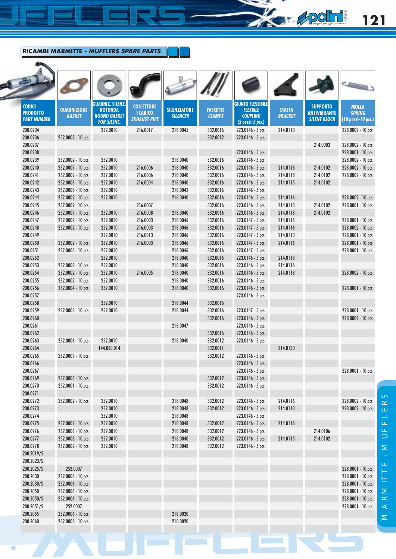#### **RICAMBI MARMITTE** *- MUFFLERS SPARE PARTS*

مد

 $\overline{\bullet}$ 

| <b>CODICE</b><br><b>PRODOTTO</b><br><b>PART NUMBER</b> | <b>GUARNIZIONE</b><br><b>GASKET</b>      | <b>GUARNIZ. SILENZ</b><br><b>ROTONDA</b><br><b>ROUND GASKET</b><br><b>FOR SILENC.</b> | <b>COLLETTORE</b><br><b>SCARICO</b><br><b>EXHAUST PIPE</b> | <b>SILENZIATORE</b><br><b>SILENCER</b> | <b>FASCETTE</b><br><b>CLAMPS</b> | <b>GIUNTO FLESSIBILE</b><br><b>FLEXIBLE</b><br><b>COUPLING</b><br>$(5$ pezzi- $5$ pcs.) | <b>STAFFA</b><br><b>BRACKET</b> | <b>SUPPORTO</b><br><b>ANTIVIBRANTE</b><br><b>SILENT BLOCK</b> | <b>MOLLA</b><br><b>SPRING</b><br>(10 pezzi-10 pcs.) |
|--------------------------------------------------------|------------------------------------------|---------------------------------------------------------------------------------------|------------------------------------------------------------|----------------------------------------|----------------------------------|-----------------------------------------------------------------------------------------|---------------------------------|---------------------------------------------------------------|-----------------------------------------------------|
| 200.0234                                               |                                          | 252.0010                                                                              | 216.0017                                                   | 218.0045                               | 332.0016                         | 223.0146 - 5 pcs.                                                                       | 214.0113                        |                                                               | 228.0002 - 10 pcs.                                  |
| 200.0236                                               | 252.0002 - 10 pcs.                       |                                                                                       |                                                            |                                        | 332.0012                         | 223.0146 - 5 pcs.                                                                       |                                 |                                                               |                                                     |
| 200.0237                                               |                                          |                                                                                       |                                                            |                                        |                                  |                                                                                         |                                 | 214.0003                                                      | 228.0002 - 10 pcs.                                  |
| 200.0238                                               |                                          |                                                                                       |                                                            |                                        |                                  | 223.0146 - 5 pcs.                                                                       |                                 |                                                               | 228.0001 - 10 pcs.                                  |
| 200.0239                                               | 252.0002 - 10 pcs.                       | 252.0010                                                                              |                                                            | 218.0040                               | 332.0016                         | 223.0146 - 5 pcs.                                                                       |                                 |                                                               | 228.0002 - 10 pcs.                                  |
| 200.0240                                               | 252.0009 - 10 pcs.                       | 252.0010                                                                              | 216.0006                                                   | 218.0040                               | 332.0016                         | 223.0146 - 5 pcs.                                                                       | 214.0118                        | 214.0102                                                      | 228.0002 - 10 pcs.                                  |
| 200.0241                                               | 252.0009 - 10 pcs.                       | 252.0010                                                                              | 216.0006                                                   | 218.0040                               | 332.0016                         | 223.0146 - 5 pcs.                                                                       | 214.0118                        | 214.0102                                                      | 228.0002 - 10 pcs.                                  |
| 200.0242                                               | 252.0008 - 10 pcs.                       | 252.0010                                                                              | 216.0004                                                   | 218.0040                               | 332.0016                         | $223.0146 - 5$ pcs.                                                                     | 214.0115                        | 214.0102                                                      |                                                     |
| 200.0243                                               | 252.0008 - 10 pcs.                       | 252.0010                                                                              |                                                            | 218.0042                               | 332.0016                         | 223.0146 - 5 pcs.                                                                       |                                 |                                                               |                                                     |
| 200.0244                                               | 252.0002 - 10 pcs.                       | 252.0010                                                                              |                                                            | 218.0040                               | 332.0016                         | 223.0146 - 5 pcs.                                                                       | 214.0116                        |                                                               | 228.0002 - 10 pcs.                                  |
| 200.0245                                               | 252.0009 - 10 pcs.                       |                                                                                       | 216.0007                                                   |                                        | 332.0016                         | 223.0146 - 5 pcs.                                                                       | 214.0113                        | 214.0102                                                      | 228.0001 - 10 pcs.                                  |
| 200.0246                                               | 252.0009 - 10 pcs.                       | 252.0010                                                                              | 216.0008                                                   | 218.0040                               | 332.0016                         | 223.0146 - 5 pcs.                                                                       | 214.0118                        | 214.0102                                                      |                                                     |
| 200.0247                                               | 252.0002 - 10 pcs.                       | 252.0010                                                                              | 216.0003                                                   | 218.0046                               | 332.0016                         | 223.0147 - 5 pcs.                                                                       | 214.0116                        |                                                               | 228.0001 - 10 pcs.                                  |
| 200.0248                                               | 252.0002 - 10 pcs.                       | 252.0010                                                                              | 216.0003                                                   | 218.0046                               | 332.0016                         | $223.0147 - 5$ pcs.                                                                     | 214.0116                        |                                                               | 228.0002 - 10 pcs.                                  |
| 200.0249                                               |                                          | 252.0010                                                                              | 216.0013                                                   | 218.0046                               | 332.0016                         | 223.0147 - 5 pcs.                                                                       | 214.0113                        |                                                               | 228.0001 - 10 pcs.                                  |
| 200.0250                                               | 252.0002 - 10 pcs.                       | 252.0010                                                                              | 216.0003                                                   | 218.0046                               | 332.0016                         | 223.0147 - 5 pcs.                                                                       | 214.0116                        |                                                               | 228.0001 - 10 pcs.                                  |
| 200.0251                                               | 252.0003 - 10 pcs.                       | 252.0010                                                                              |                                                            | 218.0046                               | 332.0016                         | 223.0147 - 5 pcs.                                                                       |                                 |                                                               | 228.0001 - 10 pcs.                                  |
| 200.0252                                               |                                          | 252.0010                                                                              |                                                            | 218.0040                               | 332.0016                         | 223.0146 - 5 pcs.                                                                       | 214.0113                        |                                                               |                                                     |
| 200.0253                                               | 252.0002 - 10 pcs.                       | 252.0010                                                                              |                                                            | 218.0040                               | 332.0016                         | 223.0146 - 5 pcs.                                                                       | 214.0116                        |                                                               |                                                     |
| 200.0254                                               | 252.0002 - 10 pcs.                       | 252.0010                                                                              | 216.0005                                                   | 218.0040                               | 332.0016                         | 223.0146 - 5 pcs.                                                                       | 214.0118                        |                                                               | 228.0002 - 10 pcs.                                  |
| 200.0255                                               | 252.0002 - 10 pcs.                       | 252.0010                                                                              |                                                            | 218.0040                               | 332.0016                         | 223.0146 - 5 pcs.                                                                       |                                 |                                                               |                                                     |
| 200.0256                                               | 252.0004 - 10 pcs.                       | 252.0010                                                                              |                                                            | 218.0040                               | 332.0016                         | 223.0146 - 5 pcs.                                                                       |                                 |                                                               | 228.0001 - 10 pcs.                                  |
| 200.0257                                               |                                          |                                                                                       |                                                            |                                        |                                  | 223.0146 - 5 pcs.                                                                       |                                 |                                                               |                                                     |
| 200.0258                                               |                                          | 252.0010                                                                              |                                                            | 218.0044                               | 332.0016                         |                                                                                         |                                 |                                                               |                                                     |
| 200.0259                                               | 252.0003 - 10 pcs.                       | 252.0010                                                                              |                                                            | 218.0044                               | 332.0016                         | 223.0147 - 5 pcs.                                                                       |                                 |                                                               | 228.0001 - 10 pcs.                                  |
| 200.0260                                               |                                          |                                                                                       |                                                            |                                        | 332.0016                         | 223.0146 - 5 pcs.                                                                       |                                 |                                                               | 228.0002 - 10 pcs.                                  |
| 200.0261                                               |                                          |                                                                                       |                                                            | 218.0047                               |                                  | 223.0146 - 5 pcs.                                                                       |                                 |                                                               |                                                     |
| 200.0262                                               |                                          |                                                                                       |                                                            |                                        | 332.0016                         | 223.0146 - 5 pcs.                                                                       |                                 |                                                               |                                                     |
| 200.0263                                               | 252.0006 - 10 pcs.                       | 252.0010                                                                              |                                                            | 218.0040                               | 332.0012                         | 223.0146 - 5 pcs.                                                                       |                                 |                                                               |                                                     |
| 200.0264                                               |                                          | 144.060.014                                                                           |                                                            |                                        | 332.0017                         |                                                                                         | 214.0130                        |                                                               |                                                     |
| 200.0265                                               | 252.0009 - 10 pcs.                       |                                                                                       |                                                            |                                        | 332.0012                         | 223.0146 - 5 pcs.                                                                       |                                 |                                                               |                                                     |
| 200.0266                                               |                                          |                                                                                       |                                                            |                                        |                                  | 223.0146 - 5 pcs.                                                                       |                                 |                                                               |                                                     |
| 200.0267                                               |                                          |                                                                                       |                                                            |                                        |                                  | 223.0146 - 5 pcs.                                                                       |                                 |                                                               | 228.0001 - 10 pcs.                                  |
| 200.0269                                               | 252.0006 - 10 pcs.                       |                                                                                       |                                                            |                                        | 332.0012                         | 223.0146 - 5 pcs.                                                                       |                                 |                                                               |                                                     |
| 200.0270                                               | 252.0006 - 10 pcs.                       |                                                                                       |                                                            |                                        | 332.0012                         | 223.0146 - 5 pcs.                                                                       |                                 |                                                               |                                                     |
| 200.0271                                               |                                          |                                                                                       |                                                            |                                        |                                  | 223.0146 - 5 pcs.                                                                       |                                 |                                                               | 228.0002 - 10 pcs.                                  |
| 200.0272                                               | 252.0002 - 10 pcs.                       | 252.0010                                                                              |                                                            | 218.0048                               | 332.0012                         |                                                                                         | 214.0116                        |                                                               |                                                     |
| 200.0273                                               |                                          | 252.0010                                                                              |                                                            | 218.0048                               | 332.0012                         | 223.0146 - 5 pcs.                                                                       | 214.0113                        |                                                               | 228.0002 - 10 pcs.                                  |
| 200.0274                                               |                                          | 252.0010                                                                              |                                                            | 218.0048                               |                                  | 223.0146 - 5 pcs.                                                                       |                                 |                                                               |                                                     |
| 200.0275<br>200.0276                                   | 252.0002 - 10 pcs.<br>252.0006 - 10 pcs. | 252.0010                                                                              |                                                            | 218.0048<br>218.0048                   | 332.0012<br>332.0012             | 223.0146 - 5 pcs.                                                                       | 214.0116                        | 214.0106                                                      |                                                     |
| 200.0277                                               | 252.0008 - 10 pcs.                       | 252.0010<br>252.0010                                                                  |                                                            | 218.0040                               | 332.0012                         | 223.0146 - 5 pcs.<br>223.0146 - 5 pcs.                                                  | 214.0115                        | 214.0102                                                      |                                                     |
| 200.0278                                               |                                          | 252.0010                                                                              |                                                            | 218.0048                               | 332.0012                         |                                                                                         |                                 |                                                               |                                                     |
| 200.2019/S                                             | 252.0002 - 10 pcs.                       |                                                                                       |                                                            |                                        |                                  | 223.0146 - 5 pcs.                                                                       |                                 |                                                               |                                                     |
| 200.2023/S                                             |                                          |                                                                                       |                                                            |                                        |                                  |                                                                                         |                                 |                                                               |                                                     |
| 200.2025/S                                             | 252.0007                                 |                                                                                       |                                                            |                                        |                                  |                                                                                         |                                 |                                                               | 228.0001 - 10 pcs.                                  |
| 200.2030                                               | 252.0006 - 10 pcs.                       |                                                                                       |                                                            |                                        |                                  |                                                                                         |                                 |                                                               | 228.0001 - 10 pcs.                                  |
| 200.2030/S                                             | 252.0006 - 10 pcs.                       |                                                                                       |                                                            |                                        |                                  |                                                                                         |                                 |                                                               |                                                     |
| 200.2050                                               |                                          |                                                                                       |                                                            |                                        |                                  |                                                                                         |                                 |                                                               | 228.0001 - 10 pcs.                                  |
| 200.2050/S                                             | 252.0006 - 10 pcs.                       |                                                                                       |                                                            |                                        |                                  |                                                                                         |                                 |                                                               | 228.0001 - 10 pcs.                                  |
| 200.2051/S                                             | 252.0006 - 10 pcs.<br>252.0007           |                                                                                       |                                                            |                                        |                                  |                                                                                         |                                 |                                                               | 228.0001 - 10 pcs.                                  |
| 200.2055                                               | 252.0006 - 10 pcs.                       |                                                                                       |                                                            | 218.0020                               |                                  |                                                                                         |                                 |                                                               | 228.0001 - 10 pcs.                                  |
|                                                        | 252.0006 - 10 pcs.                       |                                                                                       |                                                            | 218.0020                               |                                  |                                                                                         |                                 |                                                               |                                                     |
| 200.2060                                               |                                          |                                                                                       |                                                            |                                        |                                  |                                                                                         |                                 |                                                               |                                                     |

**121**

**Apolini** 

Þ